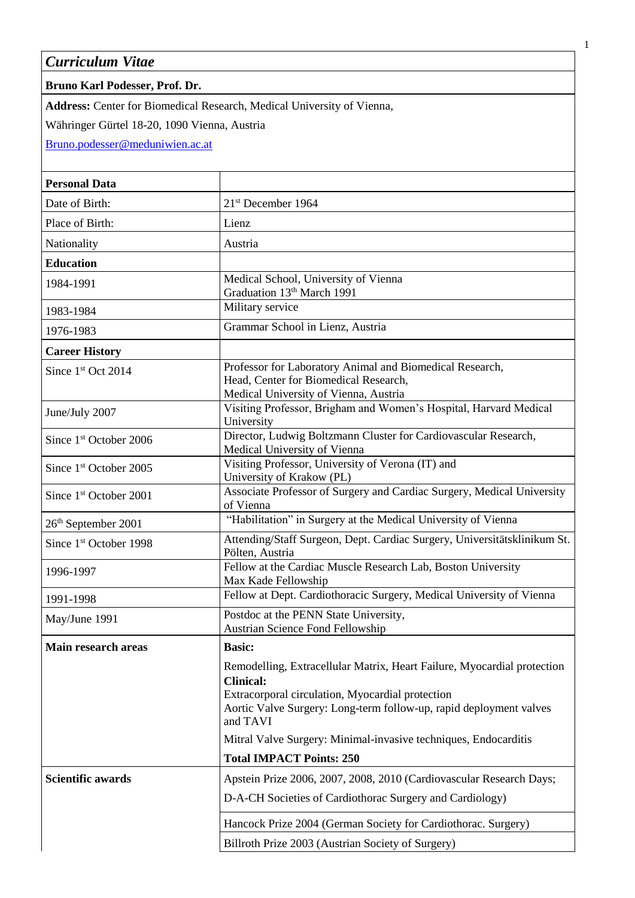*Curriculum Vitae*

## **Bruno Karl Podesser, Prof. Dr.**

**Address:** Center for Biomedical Research, Medical University of Vienna,

Währinger Gürtel 18-20, 1090 Vienna, Austria

[Bruno.podesser@meduniwien.ac.at](mailto:Bruno.podesser@meduniwien.ac.at)

| 21st December 1964                                                                                                                                                                                                                |
|-----------------------------------------------------------------------------------------------------------------------------------------------------------------------------------------------------------------------------------|
| Lienz                                                                                                                                                                                                                             |
| Austria                                                                                                                                                                                                                           |
|                                                                                                                                                                                                                                   |
| Medical School, University of Vienna<br>Graduation 13th March 1991                                                                                                                                                                |
| Military service                                                                                                                                                                                                                  |
| Grammar School in Lienz, Austria                                                                                                                                                                                                  |
|                                                                                                                                                                                                                                   |
| Professor for Laboratory Animal and Biomedical Research,<br>Head, Center for Biomedical Research,<br>Medical University of Vienna, Austria                                                                                        |
| Visiting Professor, Brigham and Women's Hospital, Harvard Medical<br>University                                                                                                                                                   |
| Director, Ludwig Boltzmann Cluster for Cardiovascular Research,<br>Medical University of Vienna                                                                                                                                   |
| Visiting Professor, University of Verona (IT) and<br>University of Krakow (PL)                                                                                                                                                    |
| Associate Professor of Surgery and Cardiac Surgery, Medical University<br>of Vienna                                                                                                                                               |
| "Habilitation" in Surgery at the Medical University of Vienna                                                                                                                                                                     |
| Attending/Staff Surgeon, Dept. Cardiac Surgery, Universitätsklinikum St.<br>Pölten, Austria                                                                                                                                       |
| Fellow at the Cardiac Muscle Research Lab, Boston University<br>Max Kade Fellowship                                                                                                                                               |
| Fellow at Dept. Cardiothoracic Surgery, Medical University of Vienna                                                                                                                                                              |
| Postdoc at the PENN State University,<br>Austrian Science Fond Fellowship                                                                                                                                                         |
| <b>Basic:</b>                                                                                                                                                                                                                     |
| Remodelling, Extracellular Matrix, Heart Failure, Myocardial protection<br><b>Clinical:</b><br>Extracorporal circulation, Myocardial protection<br>Aortic Valve Surgery: Long-term follow-up, rapid deployment valves<br>and TAVI |
| Mitral Valve Surgery: Minimal-invasive techniques, Endocarditis                                                                                                                                                                   |
| <b>Total IMPACT Points: 250</b>                                                                                                                                                                                                   |
| Apstein Prize 2006, 2007, 2008, 2010 (Cardiovascular Research Days;                                                                                                                                                               |
| D-A-CH Societies of Cardiothorac Surgery and Cardiology)                                                                                                                                                                          |
| Hancock Prize 2004 (German Society for Cardiothorac. Surgery)                                                                                                                                                                     |
| Billroth Prize 2003 (Austrian Society of Surgery)                                                                                                                                                                                 |
|                                                                                                                                                                                                                                   |

1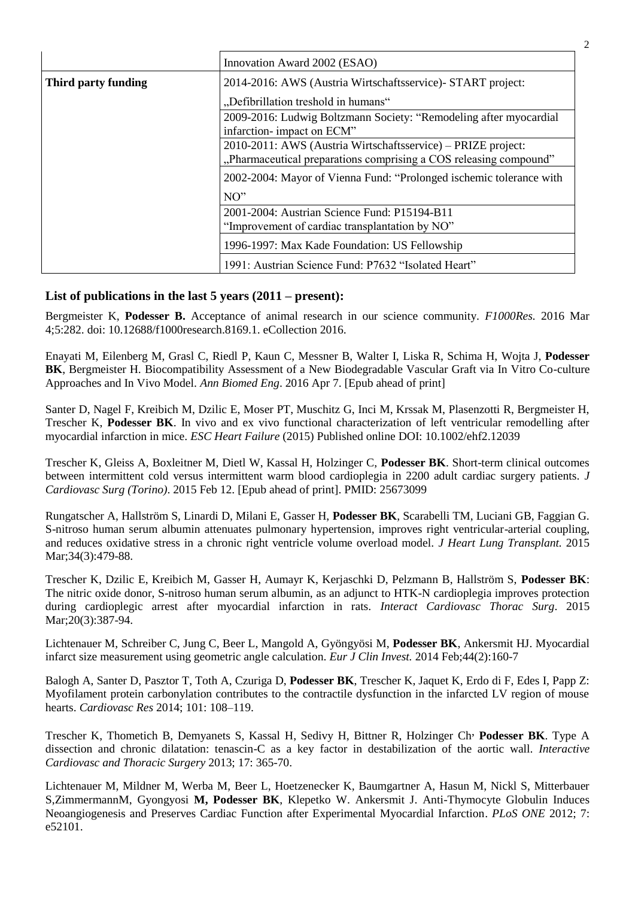|                     | Innovation Award 2002 (ESAO)                                                                                                      |
|---------------------|-----------------------------------------------------------------------------------------------------------------------------------|
| Third party funding | 2014-2016: AWS (Austria Wirtschaftsservice) - START project:                                                                      |
|                     | "Defibrillation treshold in humans"                                                                                               |
|                     | 2009-2016: Ludwig Boltzmann Society: "Remodeling after myocardial<br>infarction-impact on ECM"                                    |
|                     | 2010-2011: AWS (Austria Wirtschaftsservice) – PRIZE project:<br>"Pharmaceutical preparations comprising a COS releasing compound" |
|                     | 2002-2004: Mayor of Vienna Fund: "Prolonged ischemic tolerance with                                                               |
|                     | NO''                                                                                                                              |
|                     | 2001-2004: Austrian Science Fund: P15194-B11<br>"Improvement of cardiac transplantation by NO"                                    |
|                     | 1996-1997: Max Kade Foundation: US Fellowship                                                                                     |
|                     | 1991: Austrian Science Fund: P7632 "Isolated Heart"                                                                               |

## **List of publications in the last 5 years (2011 – present):**

Bergmeister K, **Podesser B.** Acceptance of animal research in our science community. *F1000Res.* 2016 Mar 4;5:282. doi: 10.12688/f1000research.8169.1. eCollection 2016.

Enayati M, Eilenberg M, Grasl C, Riedl P, Kaun C, Messner B, Walter I, Liska R, Schima H, Wojta J, **Podesser BK**, Bergmeister H. Biocompatibility Assessment of a New Biodegradable Vascular Graft via In Vitro Co-culture Approaches and In Vivo Model. *Ann Biomed Eng*. 2016 Apr 7. [Epub ahead of print]

Santer D, Nagel F, Kreibich M, Dzilic E, Moser PT, Muschitz G, Inci M, Krssak M, Plasenzotti R, Bergmeister H, Trescher K, **Podesser BK**. In vivo and ex vivo functional characterization of left ventricular remodelling after myocardial infarction in mice. *ESC Heart Failure* (2015) Published online DOI: 10.1002/ehf2.12039

Trescher K, Gleiss A, Boxleitner M, Dietl W, Kassal H, Holzinger C, **Podesser BK**. [Short-term clinical outcomes](http://www.ncbi.nlm.nih.gov/pubmed/25673099)  [between intermittent cold versus intermittent warm blood cardioplegia in 2200 adult cardiac surgery patients.](http://www.ncbi.nlm.nih.gov/pubmed/25673099) *J Cardiovasc Surg (Torino)*. 2015 Feb 12. [Epub ahead of print]. PMID: 25673099

Rungatscher A, Hallström S, Linardi D, Milani E, Gasser H, **Podesser BK**, Scarabelli TM, Luciani GB, Faggian G. [S-nitroso human serum albumin attenuates pulmonary hypertension, improves right ventricular-arterial coupling,](http://www.ncbi.nlm.nih.gov/pubmed/25511748)  [and reduces oxidative stress in a chronic right ventricle volume overload model.](http://www.ncbi.nlm.nih.gov/pubmed/25511748) *J Heart Lung Transplant.* 2015 Mar; 34(3): 479-88.

Trescher K, Dzilic E, Kreibich M, Gasser H, Aumayr K, Kerjaschki D, Pelzmann B, Hallström S, **Podesser BK**: [The nitric oxide donor, S-nitroso human serum albumin, as an adjunct to HTK-N cardioplegia improves protection](http://www.ncbi.nlm.nih.gov/pubmed/25468794)  [during cardioplegic arrest after myocardial infarction in rats.](http://www.ncbi.nlm.nih.gov/pubmed/25468794) *Interact Cardiovasc Thorac Surg*. 2015 Mar; 20(3): 387-94.

Lichtenauer M, Schreiber C, Jung C, Beer L, Mangold A, Gyöngyösi M, **Podesser BK**, Ankersmit HJ. [Myocardial](http://www.ncbi.nlm.nih.gov/pubmed/25266895)  [infarct size measurement using geometric angle calculation.](http://www.ncbi.nlm.nih.gov/pubmed/25266895) *Eur J Clin Invest.* 2014 Feb;44(2):160-7

Balogh A, Santer D, Pasztor T, Toth A, Czuriga D, **Podesser BK**, Trescher K, Jaquet K, Erdo di F, Edes I, Papp Z: Myofilament protein carbonylation contributes to the contractile dysfunction in the infarcted LV region of mouse hearts. *Cardiovasc Res* 2014; 101: 108–119.

Trescher K, Thometich B, Demyanets S, Kassal H, Sedivy H, Bittner R, Holzinger Ch, **Podesser BK**. Type A dissection and chronic dilatation: tenascin-C as a key factor in destabilization of the aortic wall. *Interactive Cardiovasc and Thoracic Surgery* 2013; 17: 365-70.

Lichtenauer M, Mildner M, Werba M, Beer L, Hoetzenecker K, Baumgartner A, Hasun M, Nickl S, Mitterbauer S,ZimmermannM, Gyongyosi **M, Podesser BK**, Klepetko W. Ankersmit J. Anti-Thymocyte Globulin Induces Neoangiogenesis and Preserves Cardiac Function after Experimental Myocardial Infarction. *PLoS ONE* 2012; 7: e52101.